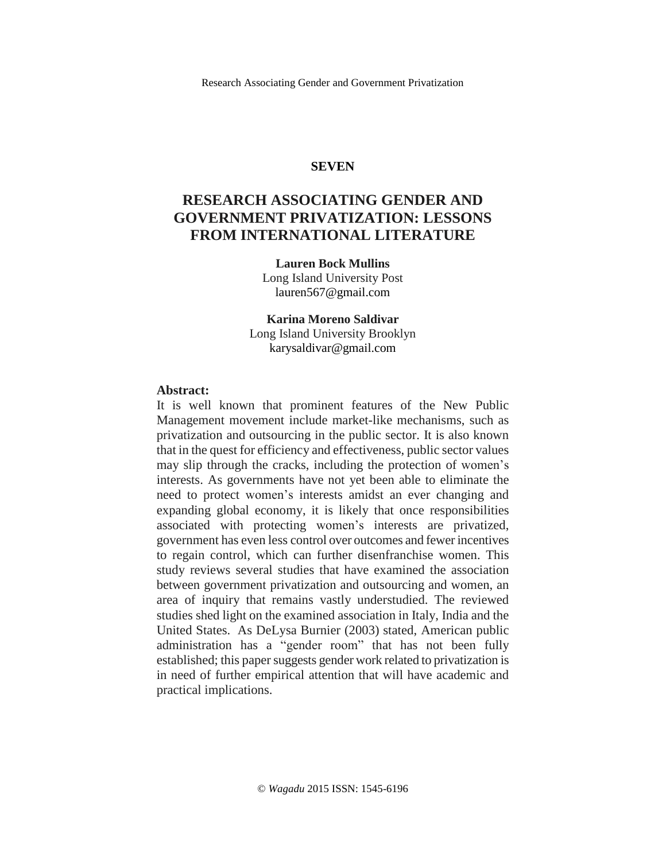### **SEVEN**

# **RESEARCH ASSOCIATING GENDER AND GOVERNMENT PRIVATIZATION: LESSONS FROM INTERNATIONAL LITERATURE**

# **Lauren Bock Mullins**

Long Island University Post [lauren567@gmail.com](mailto:lauren567@gmail.com)

**Karina Moreno Saldivar** Long Island University Brooklyn [karysaldivar@gmail.com](mailto:karysaldivar@gmail.com)

#### **Abstract:**

It is well known that prominent features of the New Public Management movement include market-like mechanisms, such as privatization and outsourcing in the public sector. It is also known that in the quest for efficiency and effectiveness, public sector values may slip through the cracks, including the protection of women's interests. As governments have not yet been able to eliminate the need to protect women's interests amidst an ever changing and expanding global economy, it is likely that once responsibilities associated with protecting women's interests are privatized, government has even less control over outcomes and fewer incentives to regain control, which can further disenfranchise women. This study reviews several studies that have examined the association between government privatization and outsourcing and women, an area of inquiry that remains vastly understudied. The reviewed studies shed light on the examined association in Italy, India and the United States. As DeLysa Burnier (2003) stated, American public administration has a "gender room" that has not been fully established; this paper suggests gender work related to privatization is in need of further empirical attention that will have academic and practical implications.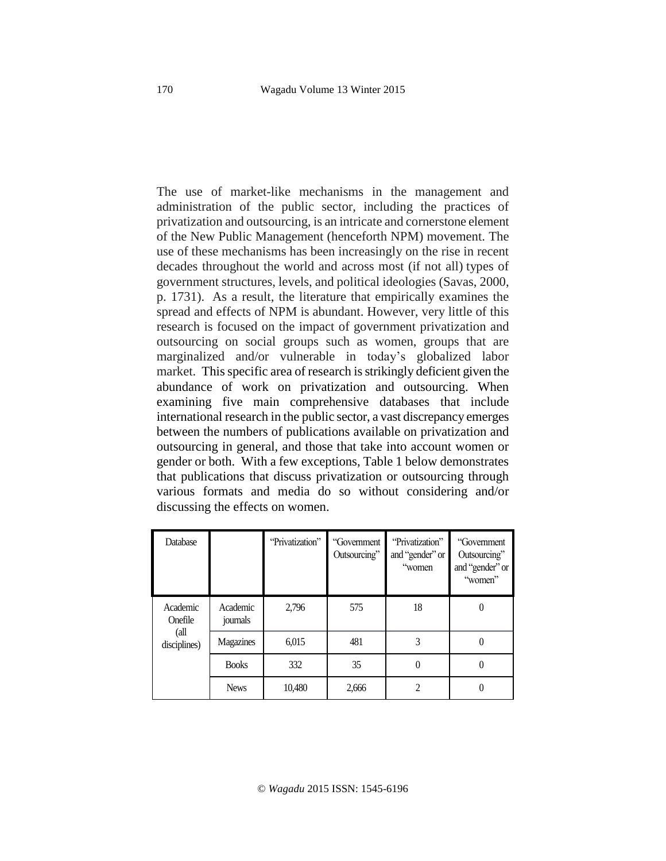The use of market-like mechanisms in the management and administration of the public sector, including the practices of privatization and outsourcing, is an intricate and cornerstone element of the New Public Management (henceforth NPM) movement. The use of these mechanisms has been increasingly on the rise in recent decades throughout the world and across most (if not all) types of government structures, levels, and political ideologies (Savas, 2000, p. 1731). As a result, the literature that empirically examines the spread and effects of NPM is abundant. However, very little of this research is focused on the impact of government privatization and outsourcing on social groups such as women, groups that are marginalized and/or vulnerable in today's globalized labor market. This specific area of research is strikingly deficient given the abundance of work on privatization and outsourcing. When examining five main comprehensive databases that include international research in the public sector, a vast discrepancy emerges between the numbers of publications available on privatization and outsourcing in general, and those that take into account women or gender or both. With a few exceptions, Table 1 below demonstrates that publications that discuss privatization or outsourcing through various formats and media do so without considering and/or discussing the effects on women.

| Database                                    |                      | "Privatization" | "Government<br>Outsourcing" | "Privatization"<br>and "gender" or<br>"women" | "Government<br>Outsourcing"<br>and "gender" or<br>"women" |
|---------------------------------------------|----------------------|-----------------|-----------------------------|-----------------------------------------------|-----------------------------------------------------------|
| Academic<br>Onefile<br>(all<br>disciplines) | Academic<br>journals | 2,796           | 575                         | 18                                            |                                                           |
|                                             | Magazines            | 6,015           | 481                         | 3                                             | $\theta$                                                  |
|                                             | <b>Books</b>         | 332             | 35                          | 0                                             | 0                                                         |
|                                             | <b>News</b>          | 10,480          | 2,666                       |                                               | 0                                                         |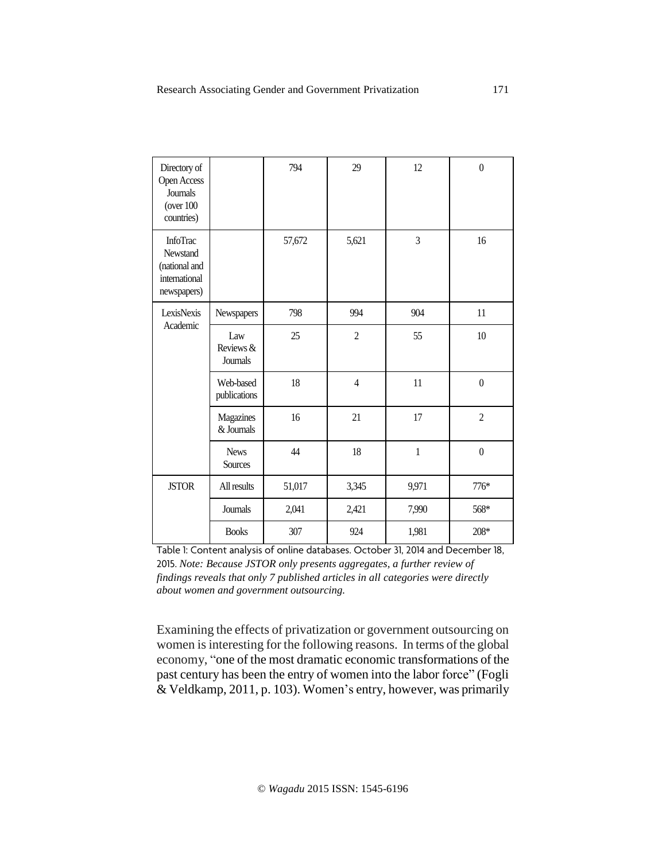| Directory of<br><b>Open Access</b><br>Journals<br>(over 100)<br>countries)   |                              | 794    | 29             | 12    | $\mathbf{0}$     |
|------------------------------------------------------------------------------|------------------------------|--------|----------------|-------|------------------|
| <b>InfoTrac</b><br>Newstand<br>(national and<br>international<br>newspapers) |                              | 57,672 | 5,621          | 3     | 16               |
| LexisNexis<br>Academic                                                       | Newspapers                   | 798    | 994            | 904   | 11               |
|                                                                              | Law<br>Reviews &<br>Journals | 25     | $\overline{2}$ | 55    | 10               |
|                                                                              | Web-based<br>publications    | 18     | $\overline{4}$ | 11    | $\boldsymbol{0}$ |
|                                                                              | Magazines<br>& Journals      | 16     | 21             | 17    | $\overline{2}$   |
|                                                                              | <b>News</b><br>Sources       | 44     | 18             | 1     | $\boldsymbol{0}$ |
| <b>JSTOR</b>                                                                 | All results                  | 51,017 | 3,345          | 9,971 | 776*             |
|                                                                              | Journals                     | 2,041  | 2,421          | 7,990 | 568*             |
|                                                                              | <b>Books</b>                 | 307    | 924            | 1,981 | 208*             |

Table 1: Content analysis of online databases. October 31, 2014 and December 18, 2015. *Note: Because JSTOR only presents aggregates, a further review of findings reveals that only 7 published articles in all categories were directly about women and government outsourcing.*

Examining the effects of privatization or government outsourcing on women is interesting for the following reasons. In terms of the global economy, "one of the most dramatic economic transformations of the past century has been the entry of women into the labor force" (Fogli & Veldkamp, 2011, p. 103). Women's entry, however, was primarily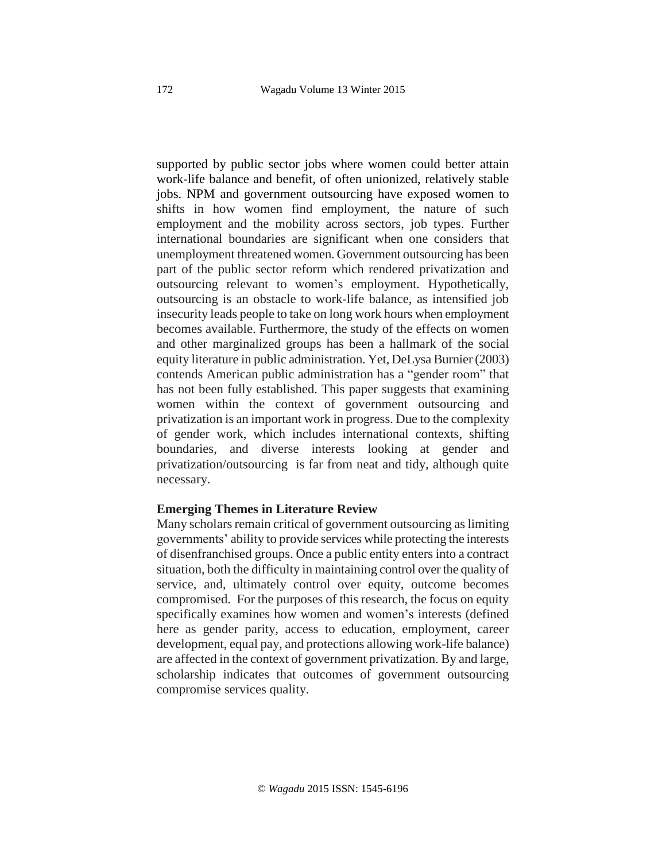supported by public sector jobs where women could better attain work-life balance and benefit, of often unionized, relatively stable jobs. NPM and government outsourcing have exposed women to shifts in how women find employment, the nature of such employment and the mobility across sectors, job types. Further international boundaries are significant when one considers that unemployment threatened women. Government outsourcing has been part of the public sector reform which rendered privatization and outsourcing relevant to women's employment. Hypothetically, outsourcing is an obstacle to work-life balance, as intensified job insecurity leads people to take on long work hours when employment becomes available. Furthermore, the study of the effects on women and other marginalized groups has been a hallmark of the social equity literature in public administration. Yet, DeLysa Burnier (2003) contends American public administration has a "gender room" that has not been fully established. This paper suggests that examining women within the context of government outsourcing and privatization is an important work in progress. Due to the complexity of gender work, which includes international contexts, shifting boundaries, and diverse interests looking at gender and privatization/outsourcing is far from neat and tidy, although quite necessary.

## **Emerging Themes in Literature Review**

Many scholars remain critical of government outsourcing as limiting governments' ability to provide services while protecting the interests of disenfranchised groups. Once a public entity enters into a contract situation, both the difficulty in maintaining control over the quality of service, and, ultimately control over equity, outcome becomes compromised. For the purposes of this research, the focus on equity specifically examines how women and women's interests (defined here as gender parity, access to education, employment, career development, equal pay, and protections allowing work-life balance) are affected in the context of government privatization. By and large, scholarship indicates that outcomes of government outsourcing compromise services quality.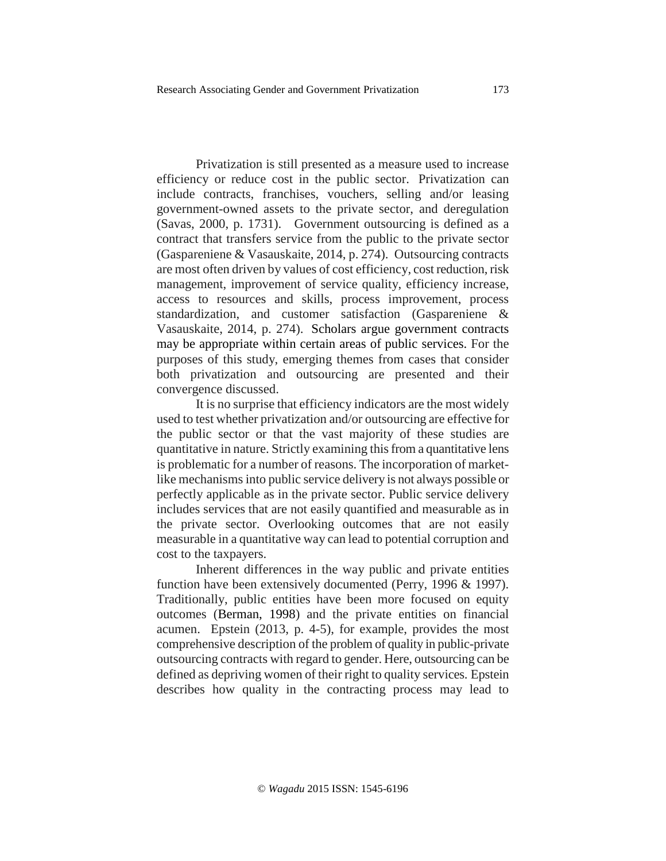Privatization is still presented as a measure used to increase efficiency or reduce cost in the public sector. Privatization can include contracts, franchises, vouchers, selling and/or leasing government-owned assets to the private sector, and deregulation (Savas, 2000, p. 1731). Government outsourcing is defined as a contract that transfers service from the public to the private sector (Gaspareniene & Vasauskaite, 2014, p. 274). Outsourcing contracts are most often driven by values of cost efficiency, cost reduction, risk management, improvement of service quality, efficiency increase, access to resources and skills, process improvement, process standardization, and customer satisfaction (Gaspareniene & Vasauskaite, 2014, p. 274). Scholars argue government contracts may be appropriate within certain areas of public services. For the purposes of this study, emerging themes from cases that consider both privatization and outsourcing are presented and their convergence discussed.

It is no surprise that efficiency indicators are the most widely used to test whether privatization and/or outsourcing are effective for the public sector or that the vast majority of these studies are quantitative in nature. Strictly examining thisfrom a quantitative lens is problematic for a number of reasons. The incorporation of marketlike mechanismsinto public service delivery is not always possible or perfectly applicable as in the private sector. Public service delivery includes services that are not easily quantified and measurable as in the private sector. Overlooking outcomes that are not easily measurable in a quantitative way can lead to potential corruption and cost to the taxpayers.

Inherent differences in the way public and private entities function have been extensively documented (Perry, 1996 & 1997). Traditionally, public entities have been more focused on equity outcomes (Berman, 1998) and the private entities on financial acumen. Epstein (2013, p. 4-5), for example, provides the most comprehensive description of the problem of quality in public-private outsourcing contracts with regard to gender. Here, outsourcing can be defined as depriving women of their right to quality services. Epstein describes how quality in the contracting process may lead to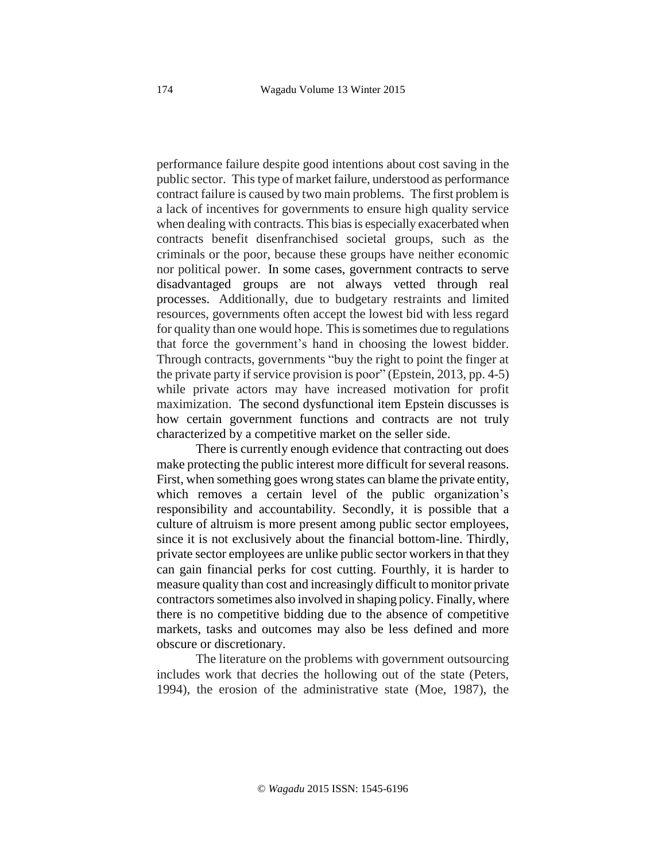performance failure despite good intentions about cost saving in the public sector. This type of market failure, understood as performance contract failure is caused by two main problems. The first problem is a lack of incentives for governments to ensure high quality service when dealing with contracts. This bias is especially exacerbated when contracts benefit disenfranchised societal groups, such as the criminals or the poor, because these groups have neither economic nor political power. In some cases, government contracts to serve disadvantaged groups are not always vetted through real processes. Additionally, due to budgetary restraints and limited resources, governments often accept the lowest bid with less regard for quality than one would hope. This is sometimes due to regulations that force the government's hand in choosing the lowest bidder. Through contracts, governments "buy the right to point the finger at the private party if service provision is poor" (Epstein, 2013, pp.  $4-5$ ) while private actors may have increased motivation for profit maximization. The second dysfunctional item Epstein discusses is how certain government functions and contracts are not truly characterized by a competitive market on the seller side.

There is currently enough evidence that contracting out does make protecting the public interest more difficult for several reasons. First, when something goes wrong states can blame the private entity, which removes a certain level of the public organization's responsibility and accountability. Secondly, it is possible that a culture of altruism is more present among public sector employees, since it is not exclusively about the financial bottom-line. Thirdly, private sector employees are unlike public sector workersin that they can gain financial perks for cost cutting. Fourthly, it is harder to measure quality than cost and increasingly difficult to monitor private contractors sometimes also involved in shaping policy. Finally, where there is no competitive bidding due to the absence of competitive markets, tasks and outcomes may also be less defined and more obscure or discretionary.

The literature on the problems with government outsourcing includes work that decries the hollowing out of the state (Peters, 1994), the erosion of the administrative state (Moe, 1987), the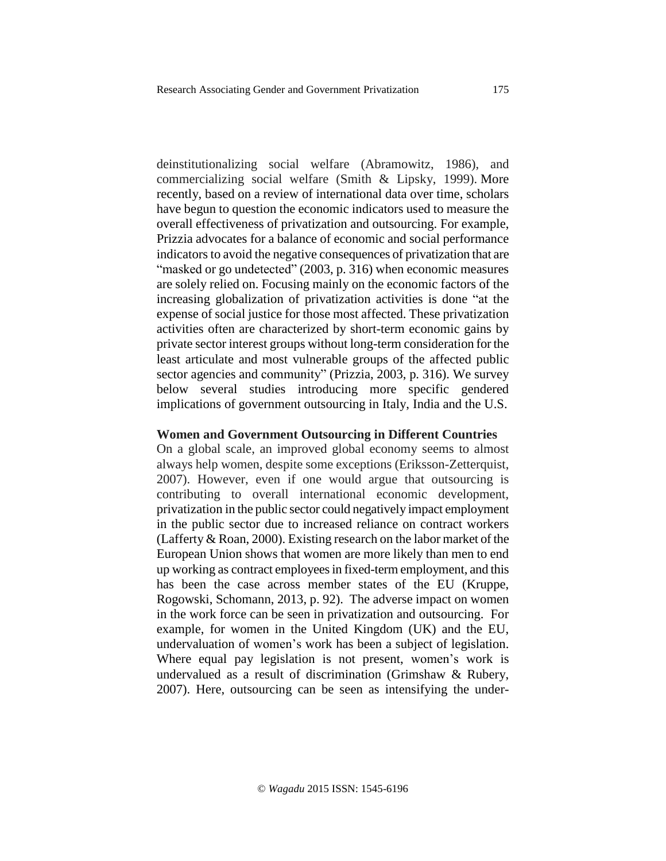deinstitutionalizing social welfare (Abramowitz, 1986), and commercializing social welfare (Smith & Lipsky, 1999). More recently, based on a review of international data over time, scholars have begun to question the economic indicators used to measure the overall effectiveness of privatization and outsourcing. For example, Prizzia advocates for a balance of economic and social performance indicators to avoid the negative consequences of privatization that are "masked or go undetected" (2003, p. 316) when economic measures are solely relied on. Focusing mainly on the economic factors of the increasing globalization of privatization activities is done "at the expense of social justice for those most affected. These privatization activities often are characterized by short-term economic gains by private sector interest groups without long-term consideration for the least articulate and most vulnerable groups of the affected public sector agencies and community" (Prizzia, 2003, p. 316). We survey below several studies introducing more specific gendered implications of government outsourcing in Italy, India and the U.S.

### **Women and Government Outsourcing in Different Countries**

On a global scale, an improved global economy seems to almost always help women, despite some exceptions (Eriksson-Zetterquist, 2007). However, even if one would argue that outsourcing is contributing to overall international economic development, privatization in the public sector could negatively impact employment in the public sector due to increased reliance on contract workers (Lafferty & Roan, 2000). Existing research on the labor market of the European Union shows that women are more likely than men to end up working as contract employeesin fixed-term employment, and this has been the case across member states of the EU (Kruppe, Rogowski, Schomann, 2013, p. 92). The adverse impact on women in the work force can be seen in privatization and outsourcing. For example, for women in the United Kingdom (UK) and the EU, undervaluation of women's work has been a subject of legislation. Where equal pay legislation is not present, women's work is undervalued as a result of discrimination (Grimshaw & Rubery, 2007). Here, outsourcing can be seen as intensifying the under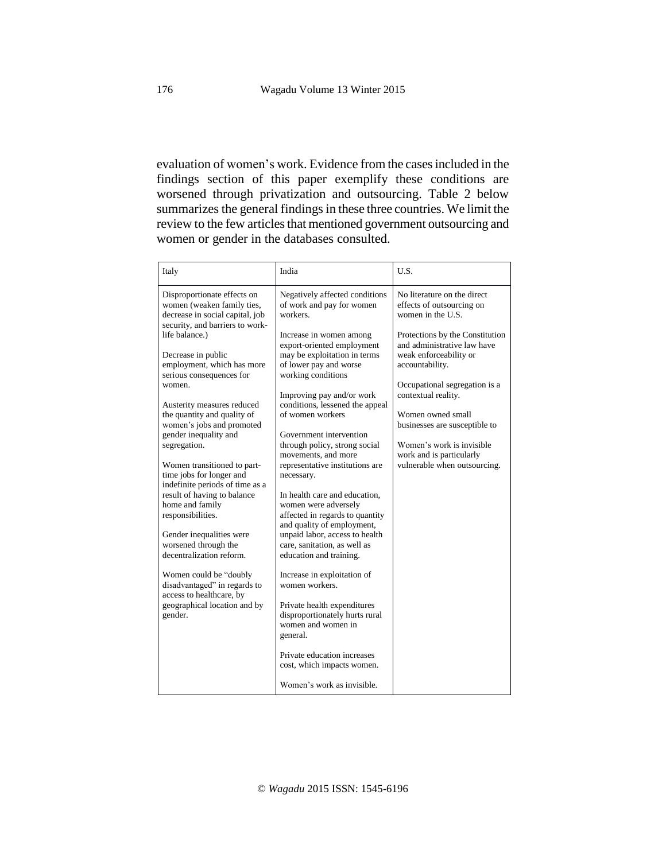evaluation of women's work. Evidence from the casesincluded in the findings section of this paper exemplify these conditions are worsened through privatization and outsourcing. Table 2 below summarizes the general findings in these three countries. We limit the review to the few articles that mentioned government outsourcing and women or gender in the databases consulted.

| Italy                                                                                                                                                                                                      | India                                                                                                                                                                                          | U.S.                                                                                                                                                               |
|------------------------------------------------------------------------------------------------------------------------------------------------------------------------------------------------------------|------------------------------------------------------------------------------------------------------------------------------------------------------------------------------------------------|--------------------------------------------------------------------------------------------------------------------------------------------------------------------|
| Disproportionate effects on<br>women (weaken family ties,<br>decrease in social capital, job<br>security, and barriers to work-<br>life balance.)                                                          | Negatively affected conditions<br>of work and pay for women<br>workers.<br>Increase in women among                                                                                             | No literature on the direct<br>effects of outsourcing on<br>women in the U.S.<br>Protections by the Constitution                                                   |
| Decrease in public<br>employment, which has more<br>serious consequences for<br>women.                                                                                                                     | export-oriented employment<br>may be exploitation in terms<br>of lower pay and worse<br>working conditions<br>Improving pay and/or work<br>conditions, lessened the appeal<br>of women workers | and administrative law have<br>weak enforceability or<br>accountability.<br>Occupational segregation is a                                                          |
| Austerity measures reduced<br>the quantity and quality of<br>women's jobs and promoted                                                                                                                     |                                                                                                                                                                                                | contextual reality.<br>Women owned small<br>businesses are susceptible to<br>Women's work is invisible<br>work and is particularly<br>vulnerable when outsourcing. |
| gender inequality and<br>segregation.<br>Women transitioned to part-<br>time jobs for longer and<br>indefinite periods of time as a<br>result of having to balance<br>home and family<br>responsibilities. | Government intervention<br>through policy, strong social<br>movements, and more<br>representative institutions are<br>necessary.                                                               |                                                                                                                                                                    |
|                                                                                                                                                                                                            | In health care and education,<br>women were adversely<br>affected in regards to quantity<br>and quality of employment,                                                                         |                                                                                                                                                                    |
| Gender inequalities were<br>worsened through the<br>decentralization reform.                                                                                                                               | unpaid labor, access to health<br>care, sanitation, as well as<br>education and training.                                                                                                      |                                                                                                                                                                    |
| Women could be "doubly<br>disadvantaged" in regards to<br>access to healthcare, by                                                                                                                         | Increase in exploitation of<br>women workers.                                                                                                                                                  |                                                                                                                                                                    |
| geographical location and by<br>gender.                                                                                                                                                                    | Private health expenditures<br>disproportionately hurts rural<br>women and women in<br>general.                                                                                                |                                                                                                                                                                    |
|                                                                                                                                                                                                            | Private education increases<br>cost, which impacts women.                                                                                                                                      |                                                                                                                                                                    |
|                                                                                                                                                                                                            | Women's work as invisible.                                                                                                                                                                     |                                                                                                                                                                    |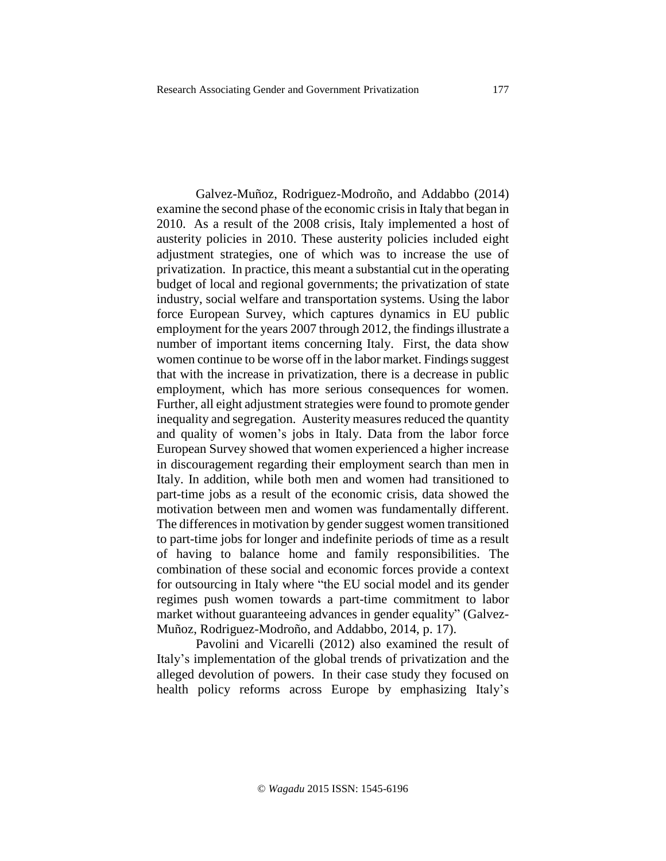Galvez-Muñoz, Rodriguez-Modroño, and Addabbo (2014) examine the second phase of the economic crisisin Italy that began in 2010. As a result of the 2008 crisis, Italy implemented a host of austerity policies in 2010. These austerity policies included eight adjustment strategies, one of which was to increase the use of privatization. In practice, this meant a substantial cut in the operating budget of local and regional governments; the privatization of state industry, social welfare and transportation systems. Using the labor force European Survey, which captures dynamics in EU public employment for the years 2007 through 2012, the findings illustrate a number of important items concerning Italy. First, the data show women continue to be worse off in the labor market. Findings suggest that with the increase in privatization, there is a decrease in public employment, which has more serious consequences for women. Further, all eight adjustment strategies were found to promote gender inequality and segregation. Austerity measures reduced the quantity and quality of women's jobs in Italy. Data from the labor force European Survey showed that women experienced a higher increase in discouragement regarding their employment search than men in Italy. In addition, while both men and women had transitioned to part-time jobs as a result of the economic crisis, data showed the motivation between men and women was fundamentally different. The differences in motivation by gender suggest women transitioned to part-time jobs for longer and indefinite periods of time as a result of having to balance home and family responsibilities. The combination of these social and economic forces provide a context for outsourcing in Italy where "the EU social model and its gender regimes push women towards a part-time commitment to labor market without guaranteeing advances in gender equality" (Galvez-Muñoz, Rodriguez-Modroño, and Addabbo, 2014, p. 17).

Pavolini and Vicarelli (2012) also examined the result of Italy's implementation of the global trends of privatization and the alleged devolution of powers. In their case study they focused on health policy reforms across Europe by emphasizing Italy's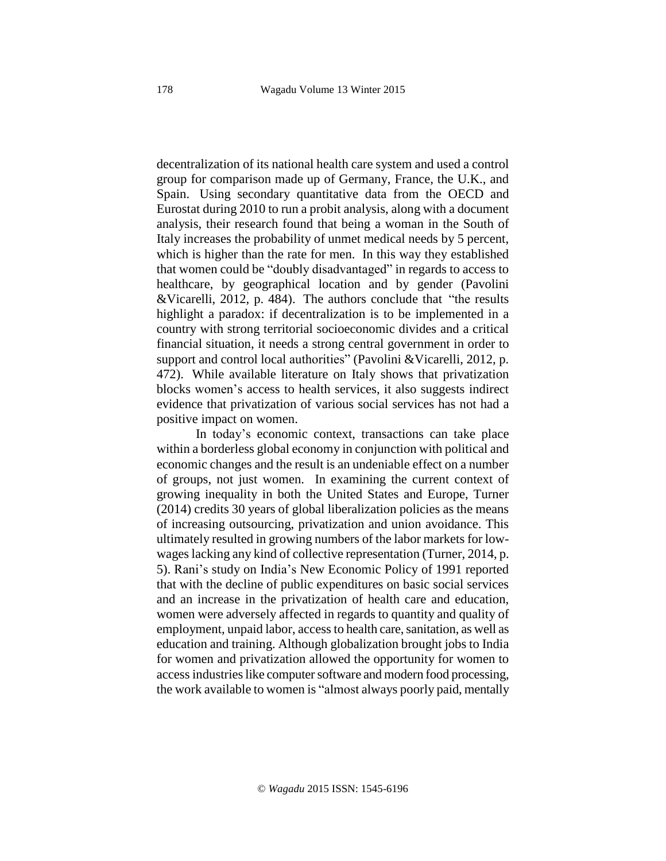decentralization of its national health care system and used a control group for comparison made up of Germany, France, the U.K., and Spain. Using secondary quantitative data from the OECD and Eurostat during 2010 to run a probit analysis, along with a document analysis, their research found that being a woman in the South of Italy increases the probability of unmet medical needs by 5 percent, which is higher than the rate for men. In this way they established that women could be "doubly disadvantaged" in regards to access to healthcare, by geographical location and by gender (Pavolini &Vicarelli, 2012, p. 484). The authors conclude that "the results highlight a paradox: if decentralization is to be implemented in a country with strong territorial socioeconomic divides and a critical financial situation, it needs a strong central government in order to support and control local authorities" (Pavolini & Vicarelli, 2012, p. 472). While available literature on Italy shows that privatization blocks women's access to health services, it also suggests indirect evidence that privatization of various social services has not had a positive impact on women.

In today's economic context, transactions can take place within a borderless global economy in conjunction with political and economic changes and the result is an undeniable effect on a number of groups, not just women. In examining the current context of growing inequality in both the United States and Europe, Turner (2014) credits 30 years of global liberalization policies as the means of increasing outsourcing, privatization and union avoidance. This ultimately resulted in growing numbers of the labor markets for lowwages lacking any kind of collective representation (Turner, 2014, p. 5). Rani's study on India's New Economic Policy of 1991 reported that with the decline of public expenditures on basic social services and an increase in the privatization of health care and education, women were adversely affected in regards to quantity and quality of employment, unpaid labor, access to health care, sanitation, as well as education and training. Although globalization brought jobs to India for women and privatization allowed the opportunity for women to access industries like computer software and modern food processing, the work available to women is "almost always poorly paid, mentally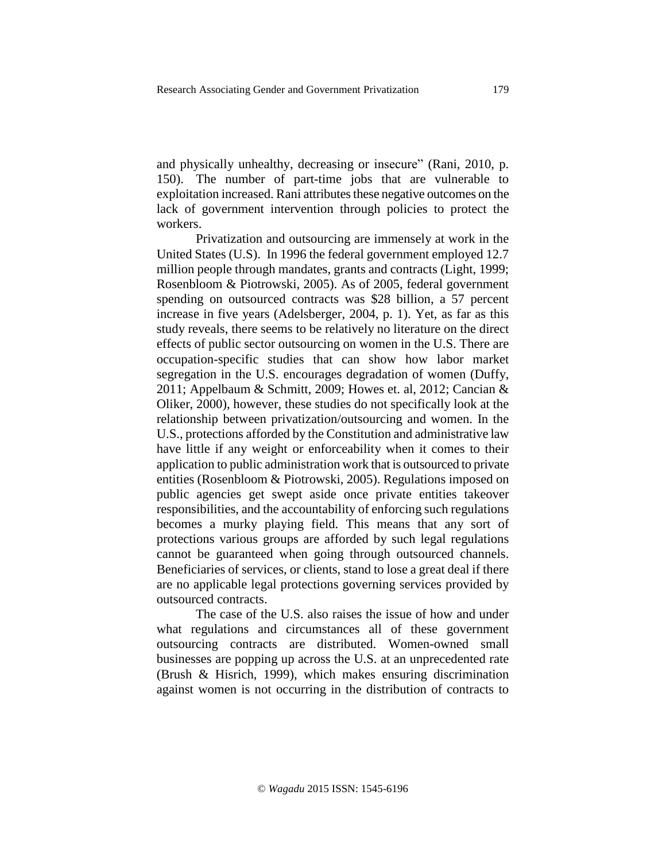and physically unhealthy, decreasing or insecure" (Rani, 2010, p. 150). The number of part-time jobs that are vulnerable to exploitation increased. Rani attributes these negative outcomes on the lack of government intervention through policies to protect the workers.

Privatization and outsourcing are immensely at work in the United States (U.S). In 1996 the federal government employed 12.7 million people through mandates, grants and contracts (Light, 1999; Rosenbloom & Piotrowski, 2005). As of 2005, federal government spending on outsourced contracts was \$28 billion, a 57 percent increase in five years (Adelsberger, 2004, p. 1). Yet, as far as this study reveals, there seems to be relatively no literature on the direct effects of public sector outsourcing on women in the U.S. There are occupation-specific studies that can show how labor market segregation in the U.S. encourages degradation of women (Duffy, 2011; Appelbaum & Schmitt, 2009; Howes et. al, 2012; Cancian & Oliker, 2000), however, these studies do not specifically look at the relationship between privatization/outsourcing and women. In the U.S., protections afforded by the Constitution and administrative law have little if any weight or enforceability when it comes to their application to public administration work that is outsourced to private entities (Rosenbloom & Piotrowski, 2005). Regulations imposed on public agencies get swept aside once private entities takeover responsibilities, and the accountability of enforcing such regulations becomes a murky playing field. This means that any sort of protections various groups are afforded by such legal regulations cannot be guaranteed when going through outsourced channels. Beneficiaries of services, or clients, stand to lose a great deal if there are no applicable legal protections governing services provided by outsourced contracts.

The case of the U.S. also raises the issue of how and under what regulations and circumstances all of these government outsourcing contracts are distributed. Women-owned small businesses are popping up across the U.S. at an unprecedented rate (Brush & Hisrich, 1999), which makes ensuring discrimination against women is not occurring in the distribution of contracts to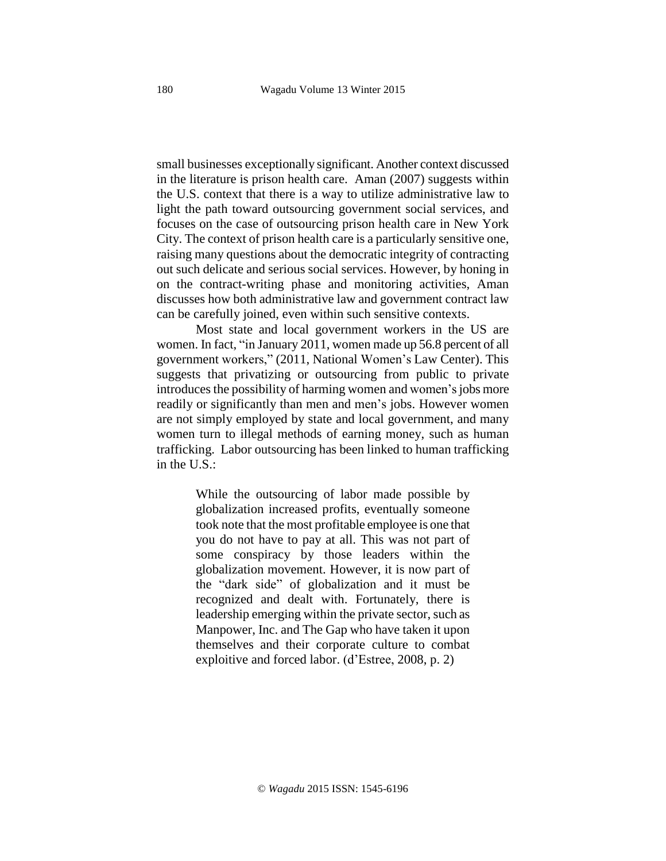small businesses exceptionally significant. Another context discussed in the literature is prison health care. Aman (2007) suggests within the U.S. context that there is a way to utilize administrative law to light the path toward outsourcing government social services, and focuses on the case of outsourcing prison health care in New York City. The context of prison health care is a particularly sensitive one, raising many questions about the democratic integrity of contracting out such delicate and serious social services. However, by honing in on the contract-writing phase and monitoring activities, Aman discusses how both administrative law and government contract law can be carefully joined, even within such sensitive contexts.

Most state and local government workers in the US are women. In fact, "in January 2011, women made up 56.8 percent of all government workers," (2011, National Women's Law Center). This suggests that privatizing or outsourcing from public to private introduces the possibility of harming women and women's jobs more readily or significantly than men and men's jobs. However women are not simply employed by state and local government, and many women turn to illegal methods of earning money, such as human trafficking. Labor outsourcing has been linked to human trafficking in the U.S.:

> While the outsourcing of labor made possible by globalization increased profits, eventually someone took note that the most profitable employee is one that you do not have to pay at all. This was not part of some conspiracy by those leaders within the globalization movement. However, it is now part of the "dark side" of globalization and it must be recognized and dealt with. Fortunately, there is leadership emerging within the private sector, such as Manpower, Inc. and The Gap who have taken it upon themselves and their corporate culture to combat exploitive and forced labor. (d'Estree, 2008, p. 2)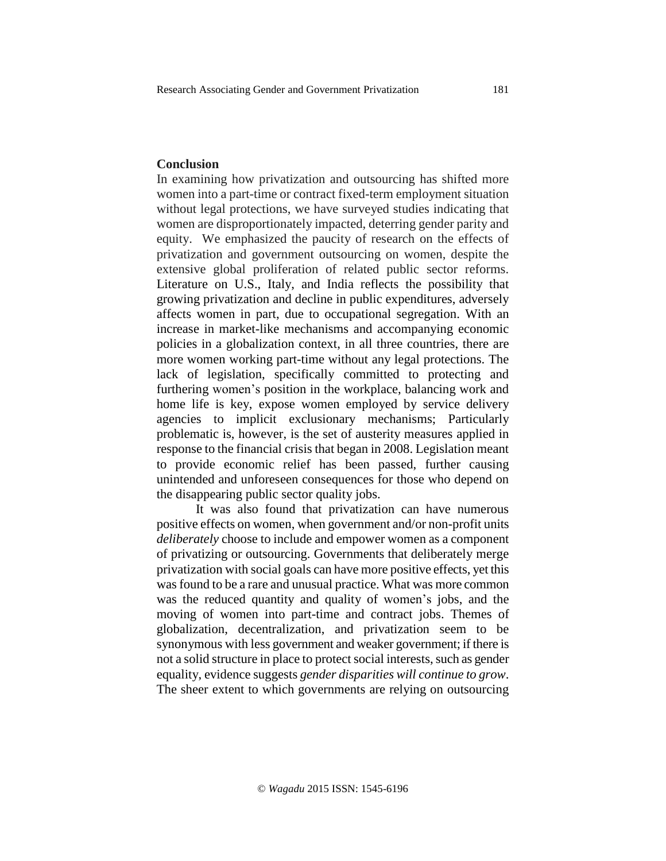# **Conclusion**

In examining how privatization and outsourcing has shifted more women into a part-time or contract fixed-term employment situation without legal protections, we have surveyed studies indicating that women are disproportionately impacted, deterring gender parity and equity. We emphasized the paucity of research on the effects of privatization and government outsourcing on women, despite the extensive global proliferation of related public sector reforms. Literature on U.S., Italy, and India reflects the possibility that growing privatization and decline in public expenditures, adversely affects women in part, due to occupational segregation. With an increase in market-like mechanisms and accompanying economic policies in a globalization context, in all three countries, there are more women working part-time without any legal protections. The lack of legislation, specifically committed to protecting and furthering women's position in the workplace, balancing work and home life is key, expose women employed by service delivery agencies to implicit exclusionary mechanisms; Particularly problematic is, however, is the set of austerity measures applied in response to the financial crisis that began in 2008. Legislation meant to provide economic relief has been passed, further causing unintended and unforeseen consequences for those who depend on the disappearing public sector quality jobs.

It was also found that privatization can have numerous positive effects on women, when government and/or non-profit units *deliberately* choose to include and empower women as a component of privatizing or outsourcing. Governments that deliberately merge privatization with social goals can have more positive effects, yet this was found to be a rare and unusual practice. What was more common was the reduced quantity and quality of women's jobs, and the moving of women into part-time and contract jobs. Themes of globalization, decentralization, and privatization seem to be synonymous with less government and weaker government; if there is not a solid structure in place to protect social interests, such as gender equality, evidence suggests *gender disparities will continue to grow*. The sheer extent to which governments are relying on outsourcing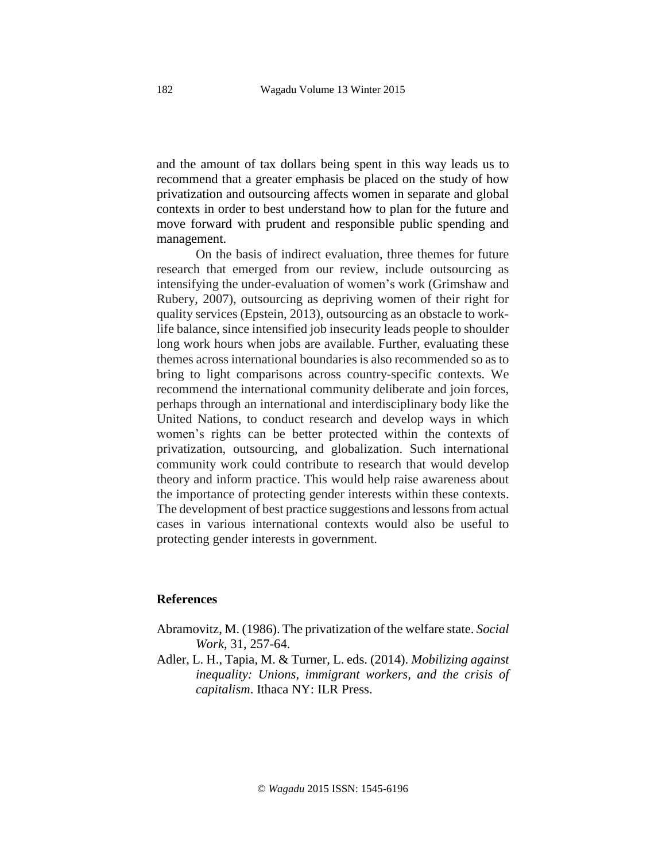and the amount of tax dollars being spent in this way leads us to recommend that a greater emphasis be placed on the study of how privatization and outsourcing affects women in separate and global contexts in order to best understand how to plan for the future and move forward with prudent and responsible public spending and management.

On the basis of indirect evaluation, three themes for future research that emerged from our review, include outsourcing as intensifying the under-evaluation of women's work (Grimshaw and Rubery, 2007), outsourcing as depriving women of their right for quality services (Epstein, 2013), outsourcing as an obstacle to worklife balance, since intensified job insecurity leads people to shoulder long work hours when jobs are available. Further, evaluating these themes across international boundaries is also recommended so as to bring to light comparisons across country-specific contexts. We recommend the international community deliberate and join forces, perhaps through an international and interdisciplinary body like the United Nations, to conduct research and develop ways in which women's rights can be better protected within the contexts of privatization, outsourcing, and globalization. Such international community work could contribute to research that would develop theory and inform practice. This would help raise awareness about the importance of protecting gender interests within these contexts. The development of best practice suggestions and lessons from actual cases in various international contexts would also be useful to protecting gender interests in government.

## **References**

- Abramovitz, M. (1986). The privatization of the welfare state. *Social Work,* 31, 257-64.
- Adler, L. H., Tapia, M. & Turner, L. eds. (2014). *Mobilizing against inequality: Unions, immigrant workers, and the crisis of capitalism*. Ithaca NY: ILR Press.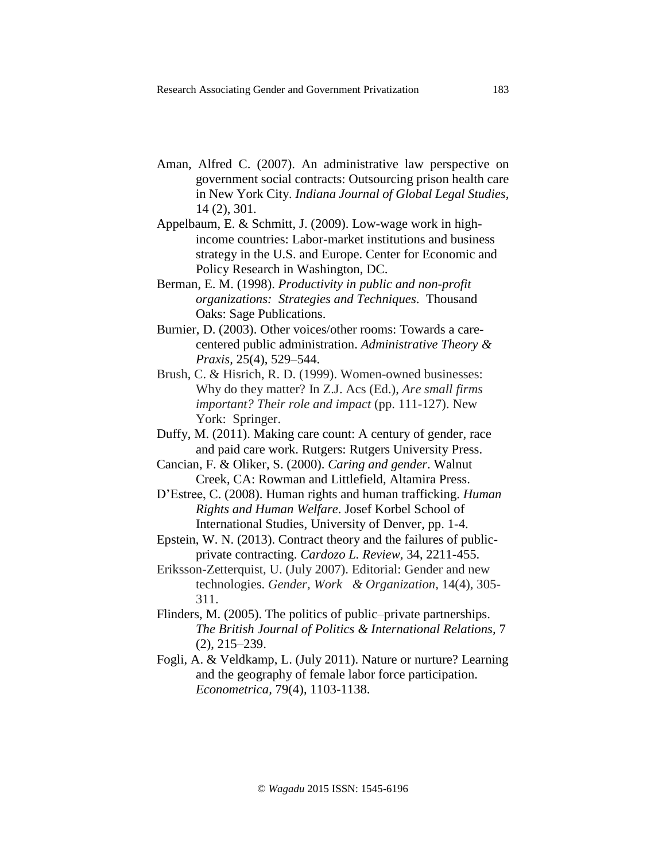- Aman, Alfred C. (2007). An administrative law perspective on government social contracts: Outsourcing prison health care in New York City. *Indiana Journal of Global Legal Studies,* 14 (2), 301.
- Appelbaum, E. & Schmitt, J. (2009). Low-wage work in highincome countries: Labor-market institutions and business strategy in the U.S. and Europe. Center for Economic and Policy Research in Washington, DC.
- Berman, E. M. (1998). *Productivity in public and non-profit organizations: Strategies and Techniques*. Thousand Oaks: Sage Publications.
- Burnier, D. (2003). Other voices/other rooms: Towards a carecentered public administration. *Administrative Theory & Praxis,* 25(4), 529–544.
- Brush, C. & Hisrich, R. D. (1999). Women-owned businesses: Why do they matter? In Z.J. Acs (Ed.), *Are small firms important? Their role and impact* (pp. 111-127). New York: Springer.
- Duffy, M. (2011). Making care count: A century of gender, race and paid care work. Rutgers: Rutgers University Press.
- Cancian, F. & Oliker, S. (2000). *Caring and gender*. Walnut Creek, CA: Rowman and Littlefield, Altamira Press.
- D'Estree, C. (2008). Human rights and human trafficking. *Human Rights and Human Welfare*. Josef Korbel School of International Studies, University of Denver, pp. 1-4.
- Epstein, W. N. (2013). Contract theory and the failures of publicprivate contracting. *Cardozo L. Review,* 34, 2211-455.
- Eriksson-Zetterquist, U. (July 2007). Editorial: Gender and new technologies. *Gender, Work & Organization*, 14(4), 305- 311.
- Flinders, M. (2005). The politics of public–private partnerships. *The British Journal of Politics & International Relations,* 7 (2), 215–239.
- Fogli, A. & Veldkamp, L. (July 2011). Nature or nurture? Learning and the geography of female labor force participation. *Econometrica,* 79(4), 1103-1138.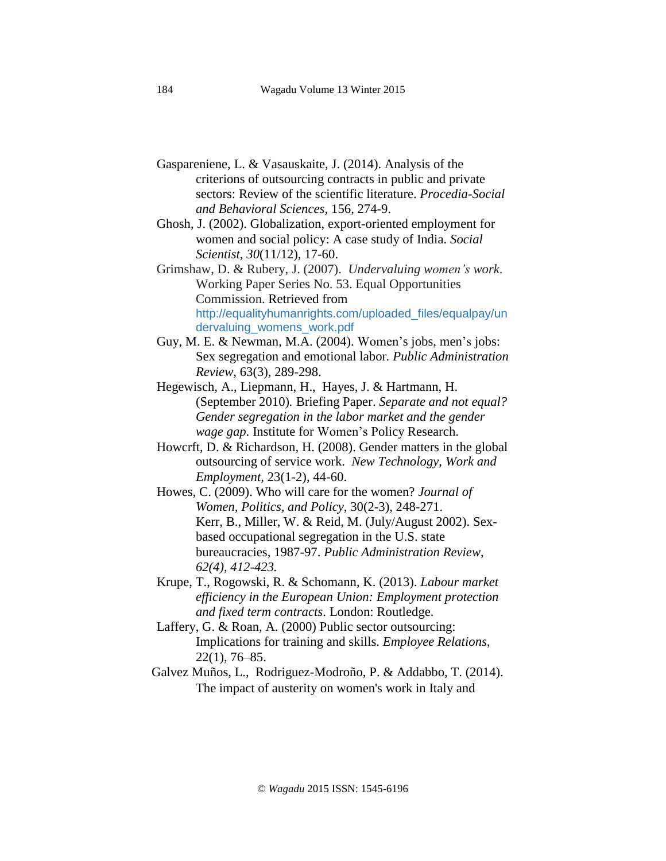- Gaspareniene, L. & Vasauskaite, J. (2014). Analysis of the criterions of outsourcing contracts in public and private sectors: Review of the scientific literature. *Procedia-Social and Behavioral Sciences,* 156, 274-9.
- Ghosh, J. (2002). Globalization, export-oriented employment for women and social policy: A case study of India. *Social Scientist, 30*(11/12), 17-60.
- Grimshaw, D. & Rubery, J. (2007). *Undervaluing women's work*. Working Paper Series No. 53. Equal Opportunities Commission. Retrieved from [http://equalityhumanrights.com/uploaded\\_files/equalpay/un](http://equalityhumanrights.com/uploaded_files/equalpay/undervaluing_womens_work.pdf) [dervaluing\\_womens\\_work.pdf](http://equalityhumanrights.com/uploaded_files/equalpay/undervaluing_womens_work.pdf)
- Guy, M. E. & Newman, M.A. (2004). Women's jobs, men's jobs: Sex segregation and emotional labor*. Public Administration Review*, 63(3), 289-298.
- Hegewisch, A., Liepmann, H., Hayes, J. & Hartmann, H. (September 2010)*.* Briefing Paper. *Separate and not equal? Gender segregation in the labor market and the gender wage gap*. Institute for Women's Policy Research.
- Howcrft, D. & Richardson, H. (2008). Gender matters in the global outsourcing of service work. *New Technology, Work and Employment,* 23(1-2), 44-60.
- Howes, C. (2009). Who will care for the women? *Journal of Women, Politics, and Policy*, 30(2-3), 248-271. Kerr, B., Miller, W. & Reid, M. (July/August 2002). Sexbased occupational segregation in the U.S. state bureaucracies, 1987-97. *Public Administration Review, 62(4), 412-423.*
- Krupe, T., Rogowski, R. & Schomann, K. (2013). *Labour market efficiency in the European Union: Employment protection and fixed term contracts*. London: Routledge.
- [Laffery,](http://www.emeraldinsight.com/action/doSearch?ContribStored=Lafferty%252C+G) G. & [Roan,](http://www.emeraldinsight.com/action/doSearch?ContribStored=Roan%252C+A) A. (2000) Public sector outsourcing: Implications for training and skills. *Employee Relations*, 22(1), 76–85.
- Galvez Muños, L., Rodriguez-Modroño, P. & Addabbo, T. (2014). The impact of austerity on women's work in Italy and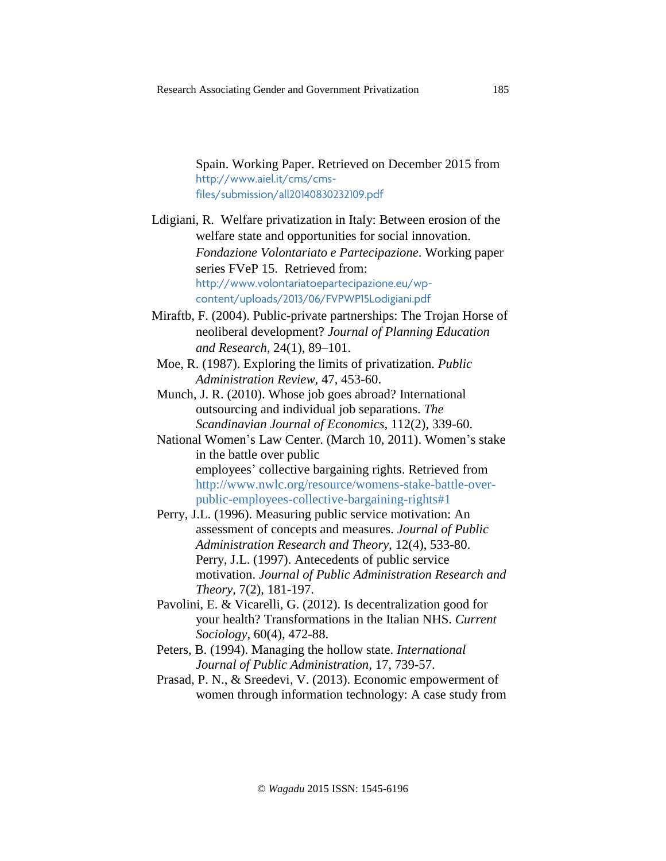Spain. Working Paper. Retrieved on December 2015 from [http://www.aiel.it/cms/cms](http://www.aiel.it/cms/cms-files/submission/all20140830232109.pdf)[files/submission/all20140830232109.pdf](http://www.aiel.it/cms/cms-files/submission/all20140830232109.pdf)

Ldigiani, R. Welfare privatization in Italy: Between erosion of the welfare state and opportunities for social innovation. *Fondazione Volontariato e Partecipazione*. Working paper series FVeP 15. Retrieved from: [http://www.volontariatoepartecipazione.eu/wp](http://www.volontariatoepartecipazione.eu/wp-content/uploads/2013/06/FVPWP15Lodigiani.pdf)[content/uploads/2013/06/FVPWP15Lodigiani.pdf](http://www.volontariatoepartecipazione.eu/wp-content/uploads/2013/06/FVPWP15Lodigiani.pdf)

- Miraftb, F. (2004). Public-private partnerships: The Trojan Horse of neoliberal development? *Journal of Planning Education and Research,* 24(1), 89–101.
- Moe, R. (1987). Exploring the limits of privatization. *Public Administration Review,* 47, 453-60.
- Munch, J. R. (2010). Whose job goes abroad? International outsourcing and individual job separations. *The Scandinavian Journal of Economics,* 112(2), 339-60.
- National Women's Law Center. (March 10, 2011). Women's stake in the battle over public employees' collective bargaining rights. Retrieved from [http://www.nwlc.org/resource/womens-stake-battle-over](http://www.nwlc.org/resource/womens-stake-battle-over-public-employees-collective-bargaining-rights#1)[public-employees-collective-bargaining-rights#1](http://www.nwlc.org/resource/womens-stake-battle-over-public-employees-collective-bargaining-rights#1)
- Perry, J.L. (1996). Measuring public service motivation: An assessment of concepts and measures. *Journal of Public Administration Research and Theory*, 12(4), 533-80. Perry, J.L. (1997). Antecedents of public service motivation. *Journal of Public Administration Research and Theory,* 7(2), 181-197.
- Pavolini, E. & Vicarelli, G. (2012). Is decentralization good for your health? Transformations in the Italian NHS. *Current Sociology,* 60(4), 472-88.
- Peters, B. (1994). Managing the hollow state. *International Journal of Public Administration,* 17, 739-57.
- Prasad, P. N., & Sreedevi, V. (2013). Economic empowerment of women through information technology: A case study from